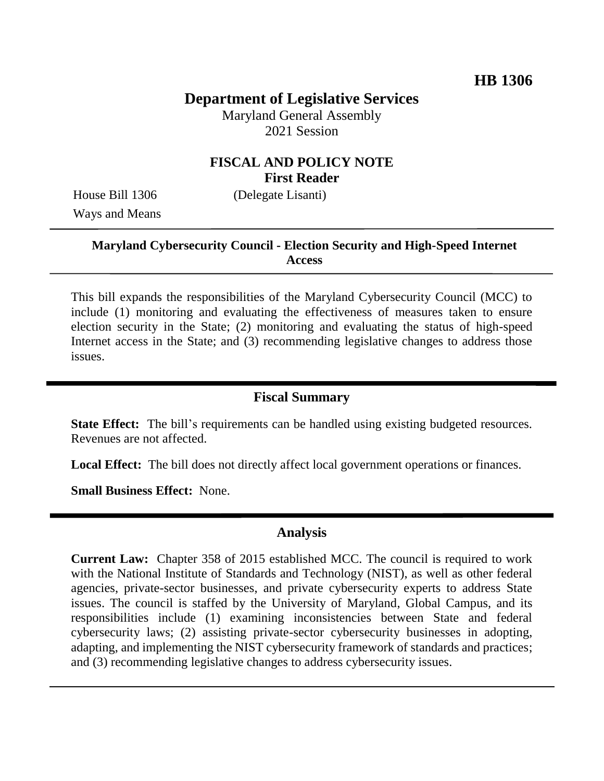# **Department of Legislative Services**

Maryland General Assembly 2021 Session

### **FISCAL AND POLICY NOTE First Reader**

House Bill 1306 (Delegate Lisanti) Ways and Means

### **Maryland Cybersecurity Council - Election Security and High-Speed Internet Access**

This bill expands the responsibilities of the Maryland Cybersecurity Council (MCC) to include (1) monitoring and evaluating the effectiveness of measures taken to ensure election security in the State; (2) monitoring and evaluating the status of high-speed Internet access in the State; and (3) recommending legislative changes to address those issues.

#### **Fiscal Summary**

**State Effect:** The bill's requirements can be handled using existing budgeted resources. Revenues are not affected.

**Local Effect:** The bill does not directly affect local government operations or finances.

**Small Business Effect:** None.

#### **Analysis**

**Current Law:** Chapter 358 of 2015 established MCC. The council is required to work with the National Institute of Standards and Technology (NIST), as well as other federal agencies, private-sector businesses, and private cybersecurity experts to address State issues. The council is staffed by the University of Maryland, Global Campus, and its responsibilities include (1) examining inconsistencies between State and federal cybersecurity laws; (2) assisting private-sector cybersecurity businesses in adopting, adapting, and implementing the NIST cybersecurity framework of standards and practices; and (3) recommending legislative changes to address cybersecurity issues.